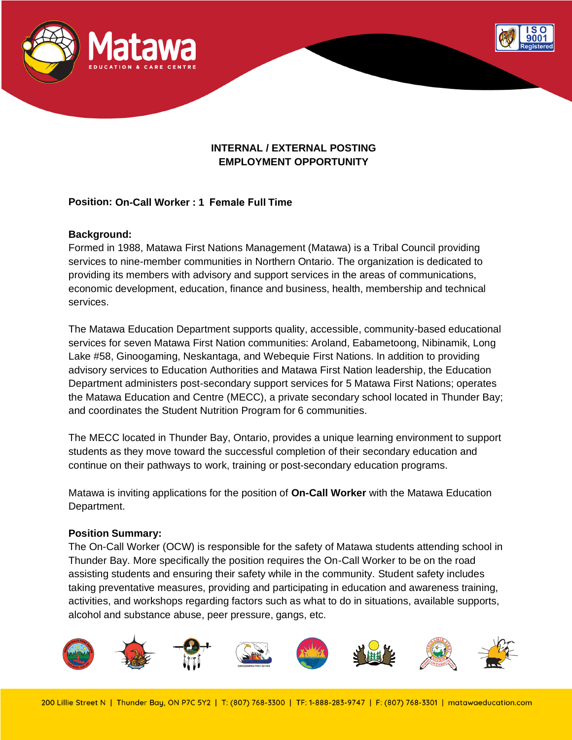

# **INTERNAL / EXTERNAL POSTING EMPLOYMENT OPPORTUNITY**

# **Position: On-Call Worker : 1 Female Full Time**

### **Background:**

Formed in 1988, Matawa First Nations Management (Matawa) is a Tribal Council providing services to nine-member communities in Northern Ontario. The organization is dedicated to providing its members with advisory and support services in the areas of communications, economic development, education, finance and business, health, membership and technical services.

The Matawa Education Department supports quality, accessible, community-based educational services for seven Matawa First Nation communities: Aroland, Eabametoong, Nibinamik, Long Lake #58, Ginoogaming, Neskantaga, and Webequie First Nations. In addition to providing advisory services to Education Authorities and Matawa First Nation leadership, the Education Department administers post-secondary support services for 5 Matawa First Nations; operates the Matawa Education and Centre (MECC), a private secondary school located in Thunder Bay; and coordinates the Student Nutrition Program for 6 communities.

The MECC located in Thunder Bay, Ontario, provides a unique learning environment to support students as they move toward the successful completion of their secondary education and continue on their pathways to work, training or post-secondary education programs.

Matawa is inviting applications for the position of **On-Call Worker** with the Matawa Education Department.

#### **Position Summary:**

The On-Call Worker (OCW) is responsible for the safety of Matawa students attending school in Thunder Bay. More specifically the position requires the On-Call Worker to be on the road assisting students and ensuring their safety while in the community. Student safety includes taking preventative measures, providing and participating in education and awareness training, activities, and workshops regarding factors such as what to do in situations, available supports, alcohol and substance abuse, peer pressure, gangs, etc.

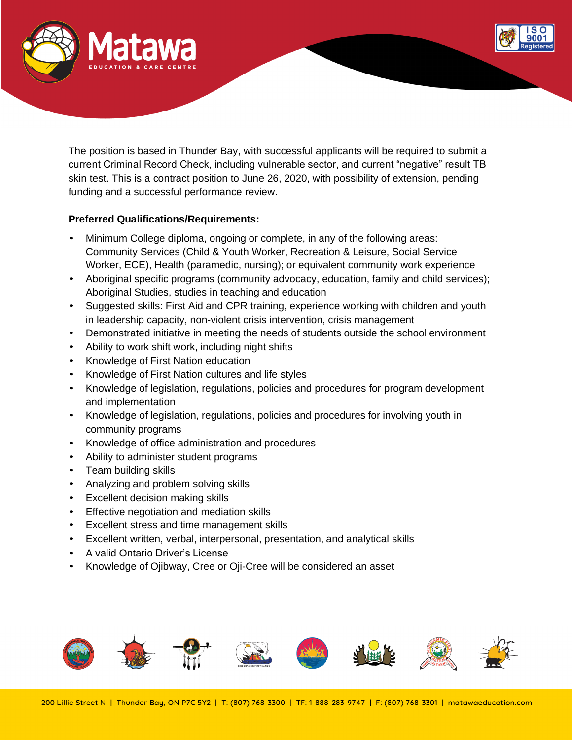

The position is based in Thunder Bay, with successful applicants will be required to submit a current Criminal Record Check, including vulnerable sector, and current "negative" result TB skin test. This is a contract position to June 26, 2020, with possibility of extension, pending funding and a successful performance review.

# **Preferred Qualifications/Requirements:**

- Minimum College diploma, ongoing or complete, in any of the following areas: Community Services (Child & Youth Worker, Recreation & Leisure, Social Service Worker, ECE), Health (paramedic, nursing); or equivalent community work experience
- Aboriginal specific programs (community advocacy, education, family and child services); Aboriginal Studies, studies in teaching and education
- Suggested skills: First Aid and CPR training, experience working with children and youth in leadership capacity, non-violent crisis intervention, crisis management
- Demonstrated initiative in meeting the needs of students outside the school environment
- Ability to work shift work, including night shifts
- Knowledge of First Nation education
- Knowledge of First Nation cultures and life styles
- Knowledge of legislation, regulations, policies and procedures for program development and implementation
- Knowledge of legislation, regulations, policies and procedures for involving youth in community programs
- Knowledge of office administration and procedures
- Ability to administer student programs
- Team building skills
- Analyzing and problem solving skills
- Excellent decision making skills
- Effective negotiation and mediation skills
- Excellent stress and time management skills
- Excellent written, verbal, interpersonal, presentation, and analytical skills
- A valid Ontario Driver's License
- Knowledge of Ojibway, Cree or Oji-Cree will be considered an asset